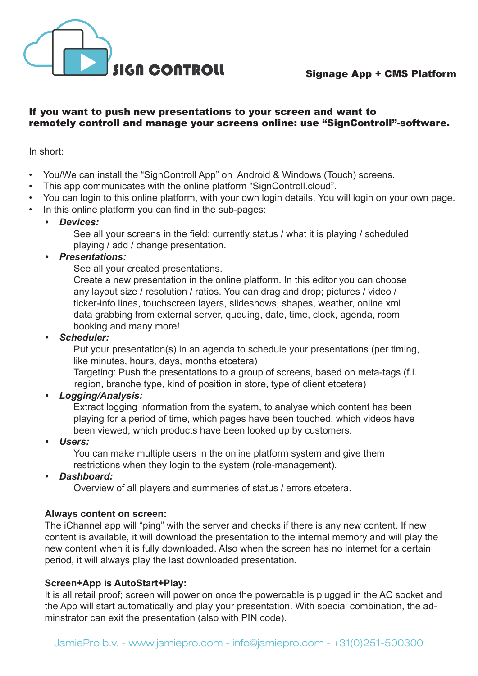

Signage App + CMS Platform

#### If you want to push new presentations to your screen and want to remotely controll and manage your screens online: use "SignControll"-software.

In short:

- You/We can install the "SignControll App" on Android & Windows (Touch) screens.
- This app communicates with the online platform "SignControll.cloud".
- You can login to this online platform, with your own login details. You will login on your own page.
- In this online platform you can find in the sub-pages:
	- *• Devices:*

 See all your screens in the field; currently status / what it is playing / scheduled playing / add / change presentation.

# *• Presentations:*

See all your created presentations.

Create a new presentation in the online platform. In this editor you can choose any layout size / resolution / ratios. You can drag and drop; pictures / video / ticker-info lines, touchscreen layers, slideshows, shapes, weather, online xml data grabbing from external server, queuing, date, time, clock, agenda, room booking and many more!

*• Scheduler:*

Put your presentation(s) in an agenda to schedule your presentations (per timing, like minutes, hours, days, months etcetera)

 Targeting: Push the presentations to a group of screens, based on meta-tags (f.i. region, branche type, kind of position in store, type of client etcetera)

*• Logging/Analysis:*

 Extract logging information from the system, to analyse which content has been playing for a period of time, which pages have been touched, which videos have been viewed, which products have been looked up by customers.

*• Users:*

 You can make multiple users in the online platform system and give them restrictions when they login to the system (role-management).

*• Dashboard:*

 Overview of all players and summeries of status / errors etcetera.

# **Always content on screen:**

The iChannel app will "ping" with the server and checks if there is any new content. If new content is available, it will download the presentation to the internal memory and will play the new content when it is fully downloaded. Also when the screen has no internet for a certain period, it will always play the last downloaded presentation.

## **Screen+App is AutoStart+Play:**

It is all retail proof; screen will power on once the powercable is plugged in the AC socket and the App will start automatically and play your presentation. With special combination, the adminstrator can exit the presentation (also with PIN code).